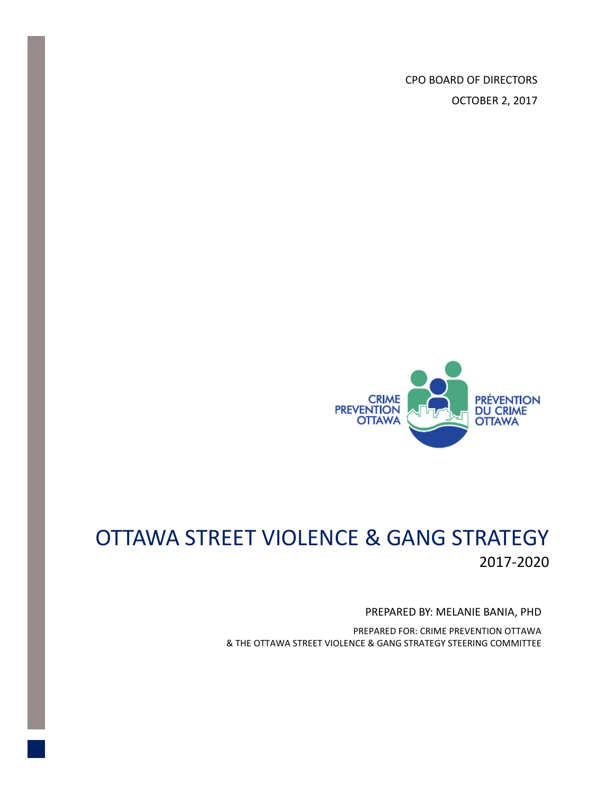CPO BOARD OF DIRECTORS OCTOBER 2, 2017



# OTTAWA STREET VIOLENCE & GANG STRATEGY 2017-2020

#### PREPARED BY: MELANIE BANIA, PHD

PREPARED FOR: CRIME PREVENTION OTTAWA & THE OTTAWA STREET VIOLENCE & GANG STRATEGY STEERING COMMITTEE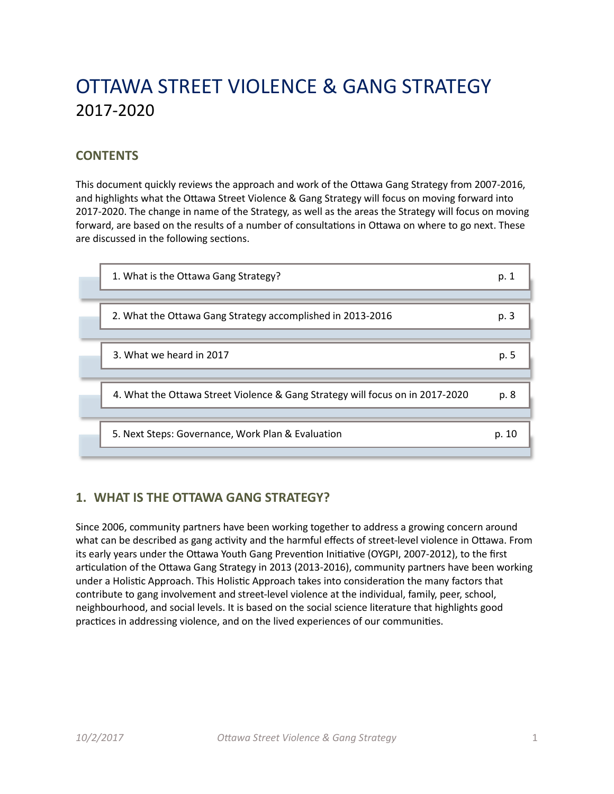# OTTAWA STREET VIOLENCE & GANG STRATEGY 2017-2020

## **CONTENTS**

This document quickly reviews the approach and work of the Ottawa Gang Strategy from 2007-2016, and highlights what the Ottawa Street Violence & Gang Strategy will focus on moving forward into 2017-2020. The change in name of the Strategy, as well as the areas the Strategy will focus on moving forward, are based on the results of a number of consultations in Ottawa on where to go next. These are discussed in the following sections.

| 1. What is the Ottawa Gang Strategy?<br>p. 1                                          |  |
|---------------------------------------------------------------------------------------|--|
| 2. What the Ottawa Gang Strategy accomplished in 2013-2016<br>p. 3                    |  |
| 3. What we heard in 2017<br>p. 5                                                      |  |
|                                                                                       |  |
| 4. What the Ottawa Street Violence & Gang Strategy will focus on in 2017-2020<br>p. 8 |  |
| 5. Next Steps: Governance, Work Plan & Evaluation<br>p. 10                            |  |

## **1. WHAT IS THE OTTAWA GANG STRATEGY?**

Since 2006, community partners have been working together to address a growing concern around what can be described as gang activity and the harmful effects of street-level violence in Ottawa. From its early years under the Ottawa Youth Gang Prevention Initiative (OYGPI, 2007-2012), to the first articulation of the Ottawa Gang Strategy in 2013 (2013-2016), community partners have been working under a Holistic Approach. This Holistic Approach takes into consideration the many factors that contribute to gang involvement and street-level violence at the individual, family, peer, school, neighbourhood, and social levels. It is based on the social science literature that highlights good practices in addressing violence, and on the lived experiences of our communities.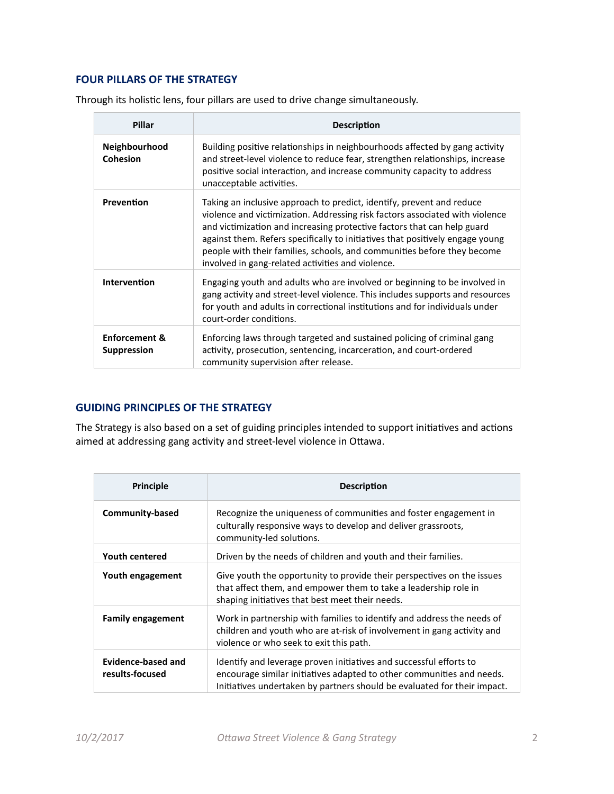## **FOUR PILLARS OF THE STRATEGY**

| Pillar                                         | <b>Description</b>                                                                                                                                                                                                                                                                                                                                                                                                                                |  |  |
|------------------------------------------------|---------------------------------------------------------------------------------------------------------------------------------------------------------------------------------------------------------------------------------------------------------------------------------------------------------------------------------------------------------------------------------------------------------------------------------------------------|--|--|
| Neighbourhood<br><b>Cohesion</b>               | Building positive relationships in neighbourhoods affected by gang activity<br>and street-level violence to reduce fear, strengthen relationships, increase<br>positive social interaction, and increase community capacity to address<br>unacceptable activities.                                                                                                                                                                                |  |  |
| Prevention                                     | Taking an inclusive approach to predict, identify, prevent and reduce<br>violence and victimization. Addressing risk factors associated with violence<br>and victimization and increasing protective factors that can help guard<br>against them. Refers specifically to initiatives that positively engage young<br>people with their families, schools, and communities before they become<br>involved in gang-related activities and violence. |  |  |
| Intervention                                   | Engaging youth and adults who are involved or beginning to be involved in<br>gang activity and street-level violence. This includes supports and resources<br>for youth and adults in correctional institutions and for individuals under<br>court-order conditions.                                                                                                                                                                              |  |  |
| <b>Enforcement &amp;</b><br><b>Suppression</b> | Enforcing laws through targeted and sustained policing of criminal gang<br>activity, prosecution, sentencing, incarceration, and court-ordered<br>community supervision after release.                                                                                                                                                                                                                                                            |  |  |

Through its holistic lens, four pillars are used to drive change simultaneously.

### **GUIDING PRINCIPLES OF THE STRATEGY**

The Strategy is also based on a set of guiding principles intended to support initiatives and actions aimed at addressing gang activity and street-level violence in Ottawa.

| Principle                             | <b>Description</b>                                                                                                                                                                                                      |  |
|---------------------------------------|-------------------------------------------------------------------------------------------------------------------------------------------------------------------------------------------------------------------------|--|
| Community-based                       | Recognize the uniqueness of communities and foster engagement in<br>culturally responsive ways to develop and deliver grassroots,<br>community-led solutions.                                                           |  |
| <b>Youth centered</b>                 | Driven by the needs of children and youth and their families.                                                                                                                                                           |  |
| Youth engagement                      | Give youth the opportunity to provide their perspectives on the issues<br>that affect them, and empower them to take a leadership role in<br>shaping initiatives that best meet their needs.                            |  |
| <b>Family engagement</b>              | Work in partnership with families to identify and address the needs of<br>children and youth who are at-risk of involvement in gang activity and<br>violence or who seek to exit this path.                             |  |
| Evidence-based and<br>results-focused | Identify and leverage proven initiatives and successful efforts to<br>encourage similar initiatives adapted to other communities and needs.<br>Initiatives undertaken by partners should be evaluated for their impact. |  |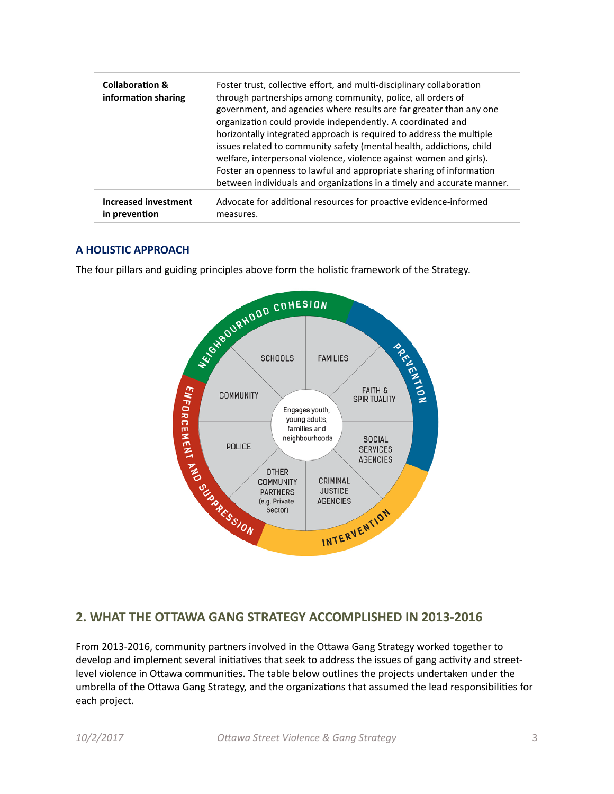| <b>Collaboration &amp;</b><br>information sharing | Foster trust, collective effort, and multi-disciplinary collaboration<br>through partnerships among community, police, all orders of<br>government, and agencies where results are far greater than any one<br>organization could provide independently. A coordinated and<br>horizontally integrated approach is required to address the multiple<br>issues related to community safety (mental health, addictions, child<br>welfare, interpersonal violence, violence against women and girls).<br>Foster an openness to lawful and appropriate sharing of information<br>between individuals and organizations in a timely and accurate manner. |
|---------------------------------------------------|----------------------------------------------------------------------------------------------------------------------------------------------------------------------------------------------------------------------------------------------------------------------------------------------------------------------------------------------------------------------------------------------------------------------------------------------------------------------------------------------------------------------------------------------------------------------------------------------------------------------------------------------------|
| <b>Increased investment</b>                       | Advocate for additional resources for proactive evidence-informed                                                                                                                                                                                                                                                                                                                                                                                                                                                                                                                                                                                  |
| in prevention                                     | measures.                                                                                                                                                                                                                                                                                                                                                                                                                                                                                                                                                                                                                                          |

### **A HOLISTIC APPROACH**



## **2. WHAT THE OTTAWA GANG STRATEGY ACCOMPLISHED IN 2013-2016**

From 2013-2016, community partners involved in the Ottawa Gang Strategy worked together to develop and implement several initiatives that seek to address the issues of gang activity and streetlevel violence in Ottawa communities. The table below outlines the projects undertaken under the umbrella of the Ottawa Gang Strategy, and the organizations that assumed the lead responsibilities for each project.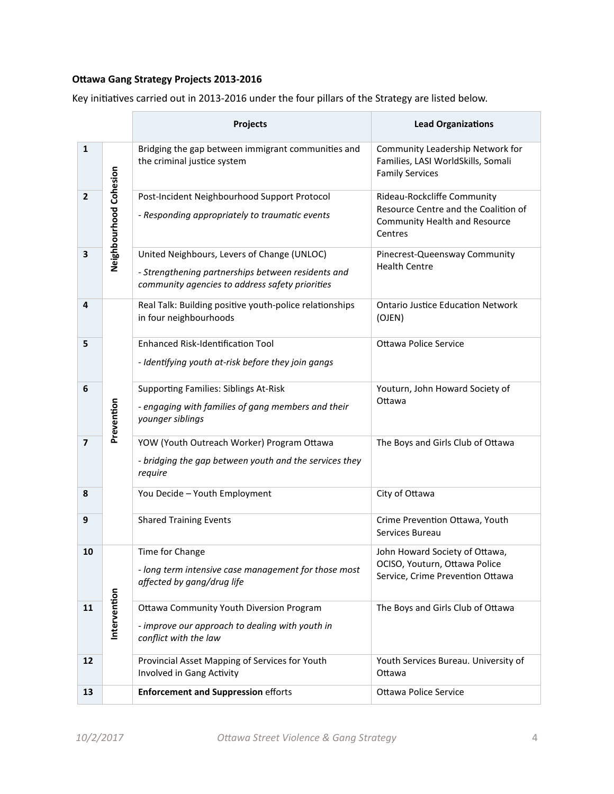## **Ottawa Gang Strategy Projects 2013-2016**

|                |                        | Projects                                                                                                                                             | <b>Lead Organizations</b>                                                                                              |
|----------------|------------------------|------------------------------------------------------------------------------------------------------------------------------------------------------|------------------------------------------------------------------------------------------------------------------------|
| $\mathbf{1}$   |                        | Bridging the gap between immigrant communities and<br>the criminal justice system                                                                    | Community Leadership Network for<br>Families, LASI WorldSkills, Somali<br><b>Family Services</b>                       |
| $\mathbf{2}$   | Neighbourhood Cohesion | Post-Incident Neighbourhood Support Protocol<br>- Responding appropriately to traumatic events                                                       | Rideau-Rockcliffe Community<br>Resource Centre and the Coalition of<br><b>Community Health and Resource</b><br>Centres |
| 3              |                        | United Neighbours, Levers of Change (UNLOC)<br>- Strengthening partnerships between residents and<br>community agencies to address safety priorities | Pinecrest-Queensway Community<br><b>Health Centre</b>                                                                  |
| 4              |                        | Real Talk: Building positive youth-police relationships<br>in four neighbourhoods                                                                    | <b>Ontario Justice Education Network</b><br>(OJEN)                                                                     |
| 5              |                        | <b>Enhanced Risk-Identification Tool</b><br>- Identifying youth at-risk before they join gangs                                                       | <b>Ottawa Police Service</b>                                                                                           |
| 6              | Prevention             | <b>Supporting Families: Siblings At-Risk</b><br>- engaging with families of gang members and their<br>younger siblings                               | Youturn, John Howard Society of<br>Ottawa                                                                              |
| $\overline{7}$ |                        | YOW (Youth Outreach Worker) Program Ottawa<br>- bridging the gap between youth and the services they<br>require                                      | The Boys and Girls Club of Ottawa                                                                                      |
| 8              |                        | You Decide - Youth Employment                                                                                                                        | City of Ottawa                                                                                                         |
| 9              |                        | <b>Shared Training Events</b>                                                                                                                        | Crime Prevention Ottawa, Youth<br>Services Bureau                                                                      |
| 10             |                        | Time for Change<br>- long term intensive case management for those most<br>affected by gang/drug life                                                | John Howard Society of Ottawa,<br>OCISO, Youturn, Ottawa Police<br>Service, Crime Prevention Ottawa                    |
| 11             | Intervention           | Ottawa Community Youth Diversion Program<br>- improve our approach to dealing with youth in<br>conflict with the law                                 | The Boys and Girls Club of Ottawa                                                                                      |
| 12             |                        | Provincial Asset Mapping of Services for Youth<br>Involved in Gang Activity                                                                          | Youth Services Bureau. University of<br>Ottawa                                                                         |
| 13             |                        | <b>Enforcement and Suppression efforts</b>                                                                                                           | <b>Ottawa Police Service</b>                                                                                           |

Key initiatives carried out in 2013-2016 under the four pillars of the Strategy are listed below.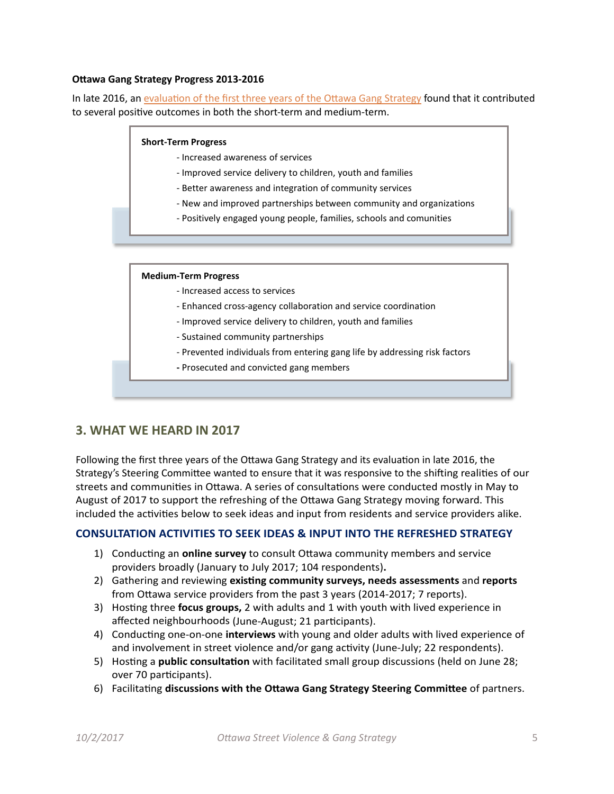#### **Ottawa Gang Strategy Progress 2013-2016**

In late 2016, an [evaluation of the first three years of the Ottawa Gang Strategy](http://www.crimepreventionottawa.ca/Media/Content/files/Publications/Youth/Ottawa%20Gang%20Strategy%20Report-%20first%203%20years_Octo%202016pdf.pdf) found that it contributed to several positive outcomes in both the short-term and medium-term.

#### **Short-Term Progress**

- Increased awareness of services
- Improved service delivery to children, youth and families
- Better awareness and integration of community services
- New and improved partnerships between community and organizations
- Positively engaged young people, families, schools and comunities

#### **Medium-Term Progress**

- Increased access to services
- Enhanced cross-agency collaboration and service coordination
- Improved service delivery to children, youth and families
- Sustained community partnerships
- Prevented individuals from entering gang life by addressing risk factors
- **-** Prosecuted and convicted gang members

### **3. WHAT WE HEARD IN 2017**

Following the first three years of the Ottawa Gang Strategy and its evaluation in late 2016, the Strategy's Steering Committee wanted to ensure that it was responsive to the shifting realities of our streets and communities in Ottawa. A series of consultations were conducted mostly in May to August of 2017 to support the refreshing of the Ottawa Gang Strategy moving forward. This included the activities below to seek ideas and input from residents and service providers alike.

#### **CONSULTATION ACTIVITIES TO SEEK IDEAS & INPUT INTO THE REFRESHED STRATEGY**

- 1) Conducting an **online survey** to consult Ottawa community members and service providers broadly (January to July 2017; 104 respondents)**.**
- 2) Gathering and reviewing **existing community surveys, needs assessments** and **reports** from Ottawa service providers from the past 3 years (2014-2017; 7 reports).
- 3) Hosting three **focus groups,** 2 with adults and 1 with youth with lived experience in affected neighbourhoods (June-August; 21 participants).
- 4) Conducting one-on-one **interviews** with young and older adults with lived experience of and involvement in street violence and/or gang activity (June-July; 22 respondents).
- 5) Hosting a **public consultation** with facilitated small group discussions (held on June 28; over 70 participants).
- 6) Facilitating **discussions with the Ottawa Gang Strategy Steering Committee** of partners.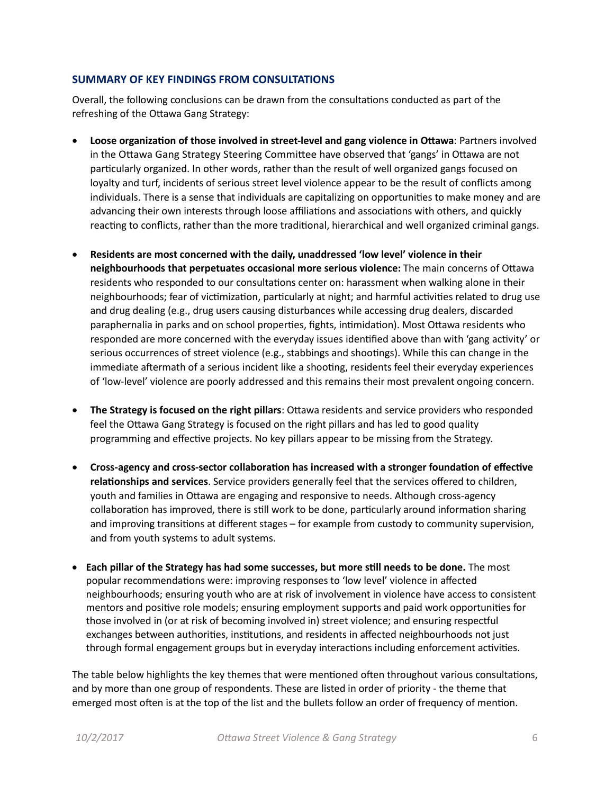#### **SUMMARY OF KEY FINDINGS FROM CONSULTATIONS**

Overall, the following conclusions can be drawn from the consultations conducted as part of the refreshing of the Ottawa Gang Strategy:

- **Loose organization of those involved in street-level and gang violence in Ottawa**: Partners involved in the Ottawa Gang Strategy Steering Committee have observed that 'gangs' in Ottawa are not particularly organized. In other words, rather than the result of well organized gangs focused on loyalty and turf, incidents of serious street level violence appear to be the result of conflicts among individuals. There is a sense that individuals are capitalizing on opportunities to make money and are advancing their own interests through loose affiliations and associations with others, and quickly reacting to conflicts, rather than the more traditional, hierarchical and well organized criminal gangs.
- **Residents are most concerned with the daily, unaddressed 'low level' violence in their neighbourhoods that perpetuates occasional more serious violence:** The main concerns of Ottawa residents who responded to our consultations center on: harassment when walking alone in their neighbourhoods; fear of victimization, particularly at night; and harmful activities related to drug use and drug dealing (e.g., drug users causing disturbances while accessing drug dealers, discarded paraphernalia in parks and on school properties, fights, intimidation). Most Ottawa residents who responded are more concerned with the everyday issues identified above than with 'gang activity' or serious occurrences of street violence (e.g., stabbings and shootings). While this can change in the immediate aftermath of a serious incident like a shooting, residents feel their everyday experiences of 'low-level' violence are poorly addressed and this remains their most prevalent ongoing concern.
- **The Strategy is focused on the right pillars**: Ottawa residents and service providers who responded feel the Ottawa Gang Strategy is focused on the right pillars and has led to good quality programming and effective projects. No key pillars appear to be missing from the Strategy.
- **Cross-agency and cross-sector collaboration has increased with a stronger foundation of effective relationships and services**. Service providers generally feel that the services offered to children, youth and families in Ottawa are engaging and responsive to needs. Although cross-agency collaboration has improved, there is still work to be done, particularly around information sharing and improving transitions at different stages – for example from custody to community supervision, and from youth systems to adult systems.
- **Each pillar of the Strategy has had some successes, but more still needs to be done.** The most popular recommendations were: improving responses to 'low level' violence in affected neighbourhoods; ensuring youth who are at risk of involvement in violence have access to consistent mentors and positive role models; ensuring employment supports and paid work opportunities for those involved in (or at risk of becoming involved in) street violence; and ensuring respectful exchanges between authorities, institutions, and residents in affected neighbourhoods not just through formal engagement groups but in everyday interactions including enforcement activities.

The table below highlights the key themes that were mentioned often throughout various consultations, and by more than one group of respondents. These are listed in order of priority - the theme that emerged most often is at the top of the list and the bullets follow an order of frequency of mention.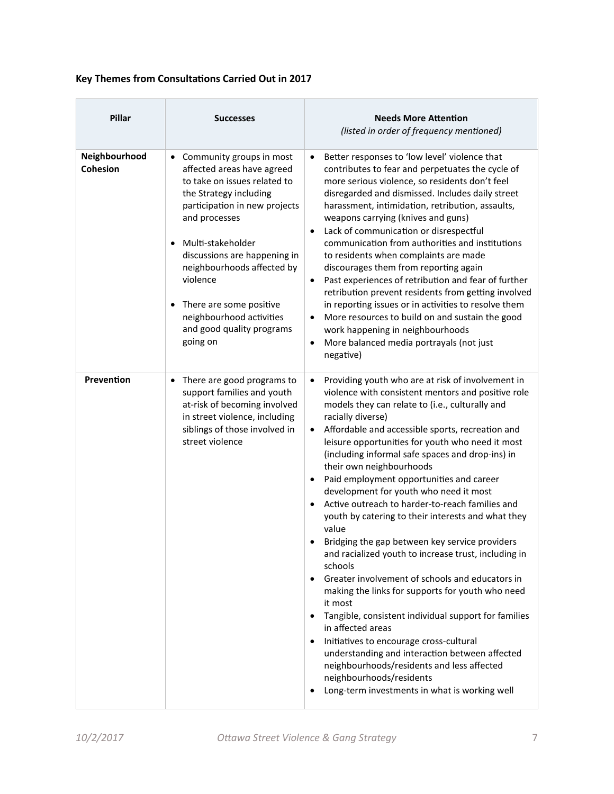## **Key Themes from Consultations Carried Out in 2017**

| Pillar                           | <b>Successes</b>                                                                                                                                                                                                                                                                                                                                                    | <b>Needs More Attention</b><br>(listed in order of frequency mentioned)                                                                                                                                                                                                                                                                                                                                                                                                                                                                                                                                                                                                                                                                                                                                                                                                                                                                                                                                                                                                                                                                                                                                                     |
|----------------------------------|---------------------------------------------------------------------------------------------------------------------------------------------------------------------------------------------------------------------------------------------------------------------------------------------------------------------------------------------------------------------|-----------------------------------------------------------------------------------------------------------------------------------------------------------------------------------------------------------------------------------------------------------------------------------------------------------------------------------------------------------------------------------------------------------------------------------------------------------------------------------------------------------------------------------------------------------------------------------------------------------------------------------------------------------------------------------------------------------------------------------------------------------------------------------------------------------------------------------------------------------------------------------------------------------------------------------------------------------------------------------------------------------------------------------------------------------------------------------------------------------------------------------------------------------------------------------------------------------------------------|
| Neighbourhood<br><b>Cohesion</b> | • Community groups in most<br>affected areas have agreed<br>to take on issues related to<br>the Strategy including<br>participation in new projects<br>and processes<br>Multi-stakeholder<br>discussions are happening in<br>neighbourhoods affected by<br>violence<br>There are some positive<br>neighbourhood activities<br>and good quality programs<br>going on | Better responses to 'low level' violence that<br>$\bullet$<br>contributes to fear and perpetuates the cycle of<br>more serious violence, so residents don't feel<br>disregarded and dismissed. Includes daily street<br>harassment, intimidation, retribution, assaults,<br>weapons carrying (knives and guns)<br>Lack of communication or disrespectful<br>$\bullet$<br>communication from authorities and institutions<br>to residents when complaints are made<br>discourages them from reporting again<br>Past experiences of retribution and fear of further<br>$\bullet$<br>retribution prevent residents from getting involved<br>in reporting issues or in activities to resolve them<br>More resources to build on and sustain the good<br>$\bullet$<br>work happening in neighbourhoods<br>More balanced media portrayals (not just<br>$\bullet$<br>negative)                                                                                                                                                                                                                                                                                                                                                     |
| Prevention                       | There are good programs to<br>$\bullet$<br>support families and youth<br>at-risk of becoming involved<br>in street violence, including<br>siblings of those involved in<br>street violence                                                                                                                                                                          | Providing youth who are at risk of involvement in<br>$\bullet$<br>violence with consistent mentors and positive role<br>models they can relate to (i.e., culturally and<br>racially diverse)<br>Affordable and accessible sports, recreation and<br>$\bullet$<br>leisure opportunities for youth who need it most<br>(including informal safe spaces and drop-ins) in<br>their own neighbourhoods<br>Paid employment opportunities and career<br>$\bullet$<br>development for youth who need it most<br>Active outreach to harder-to-reach families and<br>$\bullet$<br>youth by catering to their interests and what they<br>value<br>Bridging the gap between key service providers<br>and racialized youth to increase trust, including in<br>schools<br>Greater involvement of schools and educators in<br>٠<br>making the links for supports for youth who need<br>it most<br>Tangible, consistent individual support for families<br>$\bullet$<br>in affected areas<br>Initiatives to encourage cross-cultural<br>$\bullet$<br>understanding and interaction between affected<br>neighbourhoods/residents and less affected<br>neighbourhoods/residents<br>Long-term investments in what is working well<br>$\bullet$ |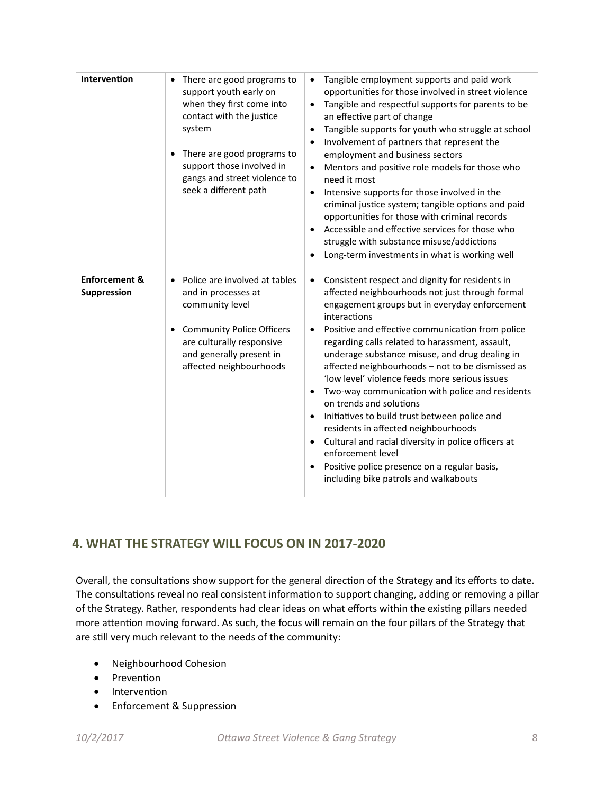| Intervention                            | There are good programs to<br>support youth early on<br>when they first come into<br>contact with the justice<br>system<br>There are good programs to<br>support those involved in<br>gangs and street violence to<br>seek a different path | Tangible employment supports and paid work<br>$\bullet$<br>opportunities for those involved in street violence<br>Tangible and respectful supports for parents to be<br>$\bullet$<br>an effective part of change<br>Tangible supports for youth who struggle at school<br>$\bullet$<br>Involvement of partners that represent the<br>$\bullet$<br>employment and business sectors<br>Mentors and positive role models for those who<br>$\bullet$<br>need it most<br>Intensive supports for those involved in the<br>$\bullet$<br>criminal justice system; tangible options and paid<br>opportunities for those with criminal records<br>Accessible and effective services for those who<br>struggle with substance misuse/addictions<br>Long-term investments in what is working well<br>$\bullet$                                                           |
|-----------------------------------------|---------------------------------------------------------------------------------------------------------------------------------------------------------------------------------------------------------------------------------------------|--------------------------------------------------------------------------------------------------------------------------------------------------------------------------------------------------------------------------------------------------------------------------------------------------------------------------------------------------------------------------------------------------------------------------------------------------------------------------------------------------------------------------------------------------------------------------------------------------------------------------------------------------------------------------------------------------------------------------------------------------------------------------------------------------------------------------------------------------------------|
| <b>Enforcement &amp;</b><br>Suppression | Police are involved at tables<br>$\bullet$<br>and in processes at<br>community level<br><b>Community Police Officers</b><br>are culturally responsive<br>and generally present in<br>affected neighbourhoods                                | Consistent respect and dignity for residents in<br>$\bullet$<br>affected neighbourhoods not just through formal<br>engagement groups but in everyday enforcement<br>interactions<br>Positive and effective communication from police<br>$\bullet$<br>regarding calls related to harassment, assault,<br>underage substance misuse, and drug dealing in<br>affected neighbourhoods - not to be dismissed as<br>'low level' violence feeds more serious issues<br>Two-way communication with police and residents<br>$\bullet$<br>on trends and solutions<br>Initiatives to build trust between police and<br>$\bullet$<br>residents in affected neighbourhoods<br>Cultural and racial diversity in police officers at<br>$\bullet$<br>enforcement level<br>Positive police presence on a regular basis,<br>$\bullet$<br>including bike patrols and walkabouts |

# **4. WHAT THE STRATEGY WILL FOCUS ON IN 2017-2020**

Overall, the consultations show support for the general direction of the Strategy and its efforts to date. The consultations reveal no real consistent information to support changing, adding or removing a pillar of the Strategy. Rather, respondents had clear ideas on what efforts within the existing pillars needed more attention moving forward. As such, the focus will remain on the four pillars of the Strategy that are still very much relevant to the needs of the community:

- Neighbourhood Cohesion
- Prevention
- Intervention
- Enforcement & Suppression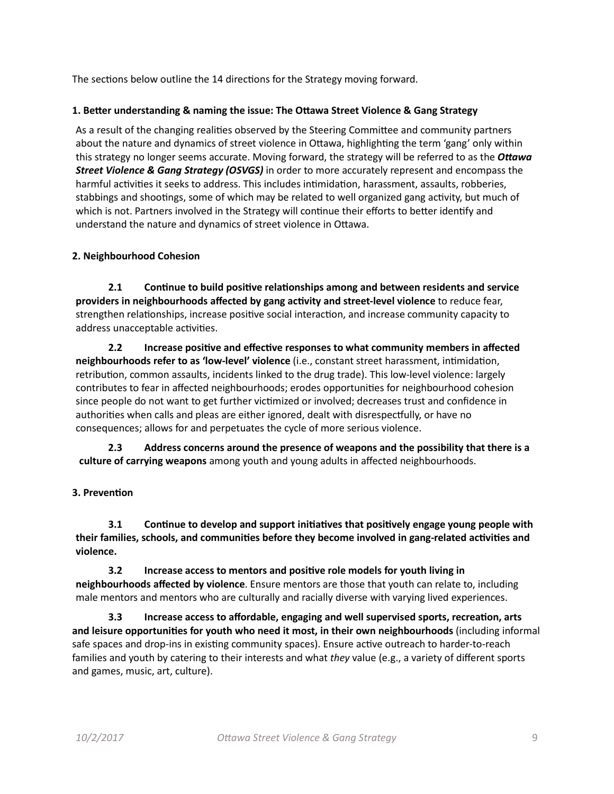The sections below outline the 14 directions for the Strategy moving forward.

#### **1. Better understanding & naming the issue: The Ottawa Street Violence & Gang Strategy**

As a result of the changing realities observed by the Steering Committee and community partners about the nature and dynamics of street violence in Ottawa, highlighting the term 'gang' only within this strategy no longer seems accurate. Moving forward, the strategy will be referred to as the *Ottawa Street Violence & Gang Strategy (OSVGS)* in order to more accurately represent and encompass the harmful activities it seeks to address. This includes intimidation, harassment, assaults, robberies, stabbings and shootings, some of which may be related to well organized gang activity, but much of which is not. Partners involved in the Strategy will continue their efforts to better identify and understand the nature and dynamics of street violence in Ottawa.

#### **2. Neighbourhood Cohesion**

**2.1 Continue to build positive relationships among and between residents and service providers in neighbourhoods affected by gang activity and street-level violence** to reduce fear, strengthen relationships, increase positive social interaction, and increase community capacity to address unacceptable activities.

**2.2 Increase positive and effective responses to what community members in affected neighbourhoods refer to as 'low-level' violence** (i.e., constant street harassment, intimidation, retribution, common assaults, incidents linked to the drug trade). This low-level violence: largely contributes to fear in affected neighbourhoods; erodes opportunities for neighbourhood cohesion since people do not want to get further victimized or involved; decreases trust and confidence in authorities when calls and pleas are either ignored, dealt with disrespectfully, or have no consequences; allows for and perpetuates the cycle of more serious violence.

**2.3 Address concerns around the presence of weapons and the possibility that there is a culture of carrying weapons** among youth and young adults in affected neighbourhoods.

### **3. Prevention**

**3.1 Continue to develop and support initiatives that positively engage young people with their families, schools, and communities before they become involved in gang-related activities and violence.** 

**3.2 Increase access to mentors and positive role models for youth living in neighbourhoods affected by violence**. Ensure mentors are those that youth can relate to, including male mentors and mentors who are culturally and racially diverse with varying lived experiences.

**3.3 Increase access to affordable, engaging and well supervised sports, recreation, arts and leisure opportunities for youth who need it most, in their own neighbourhoods** (including informal safe spaces and drop-ins in existing community spaces). Ensure active outreach to harder-to-reach families and youth by catering to their interests and what *they* value (e.g., a variety of different sports and games, music, art, culture).